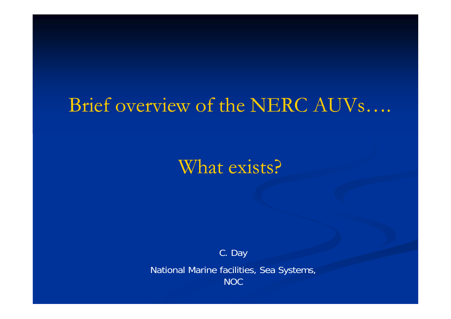## Brief overview of the NERC AUVs....

What exists?

C. Day

National Marine facilities, Sea Systems, **NOC**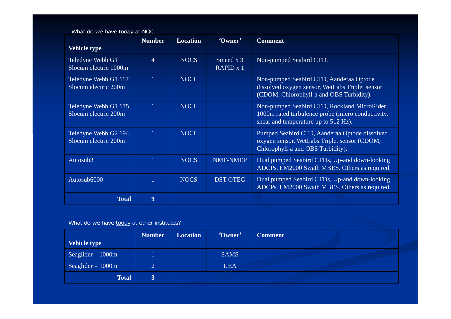| What do we have today at NOC |  |
|------------------------------|--|
|------------------------------|--|

|                                              | <b>Number</b>  | <b>Location</b> | 'Owner'                  | <b>Comment</b>                                                                                                                           |
|----------------------------------------------|----------------|-----------------|--------------------------|------------------------------------------------------------------------------------------------------------------------------------------|
| <b>Vehicle type</b>                          |                |                 |                          |                                                                                                                                          |
| Teledyne Webb G1<br>Slocum electric 1000m    | $\overline{4}$ | <b>NOCS</b>     | Smeed $x$ 3<br>RAPID x 1 | Non-pumped Seabird CTD.                                                                                                                  |
| Teledyne Webb G1 117<br>Slocum electric 200m | $\overline{1}$ | <b>NOCL</b>     |                          | Non-pumped Seabird CTD, Aanderaa Optode<br>dissolved oxygen sensor, WetLabs Triplet sensor<br>(CDOM, Chlorophyll-a and OBS Turbidity).   |
| Teledyne Webb G1 175<br>Slocum electric 200m | $\mathbf{1}$   | <b>NOCL</b>     |                          | Non-pumped Seabird CTD, Rockland MicroRider<br>1000m rated turbulence probe (micro conductivity,<br>shear and temperature up to 512 Hz). |
| Teledyne Webb G2 194<br>Slocum electric 200m |                | <b>NOCL</b>     |                          | Pumped Seabird CTD, Aanderaa Optode dissolved<br>oxygen sensor, WetLabs Triplet sensor (CDOM,<br>Chlorophyll-a and OBS Turbidity).       |
| Autosub3                                     |                | <b>NOCS</b>     | <b>NMF-NMEP</b>          | Dual pumped Seabird CTDs, Up-and down-looking<br>ADCPs. EM2000 Swath MBES. Others as required.                                           |
| Autosub6000                                  |                | <b>NOCS</b>     | <b>DST-OTEG</b>          | Dual pumped Seabird CTDs, Up-and down-looking<br>ADCPs. EM2000 Swath MBES. Others as required.                                           |
| <b>Total</b>                                 | 9              |                 |                          |                                                                                                                                          |

What do we have today at other institutes?

|                     | Number        | <b>Location</b> | 'Owner'     | <b>Comment</b> |
|---------------------|---------------|-----------------|-------------|----------------|
| Vehicle type        |               |                 |             |                |
| Seaglider – $1000m$ |               |                 | <b>SAMS</b> |                |
| Seaglider $-1000m$  | <b>O</b><br>∠ |                 | <b>UEA</b>  |                |
| <b>Total</b>        | 3             |                 |             |                |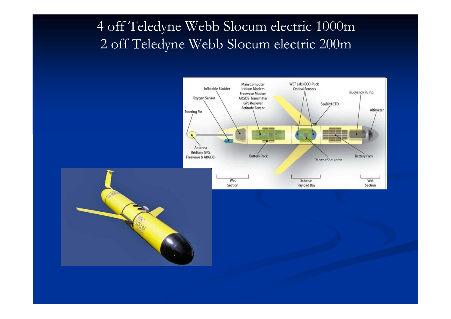## 4 off Teledyne Webb Slocum electric 1000m 2 off Teled yne Webb Slocum electric 200m



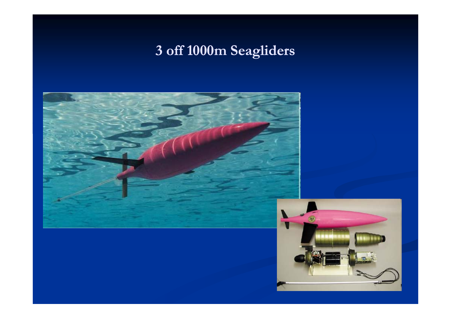## 3 off 1000m Seagliders

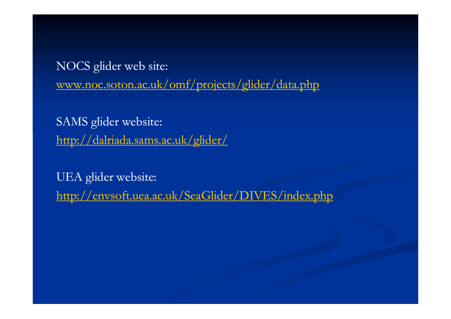NOCS glider web site: www.noc.soton.ac.uk/omf/projects/glider/data.php

SAMS glider website: http://dalriada.sams.ac.uk/glider/

UEA glider website: http://envsoft.uea.ac.uk/SeaGlider/DIVES/index.php